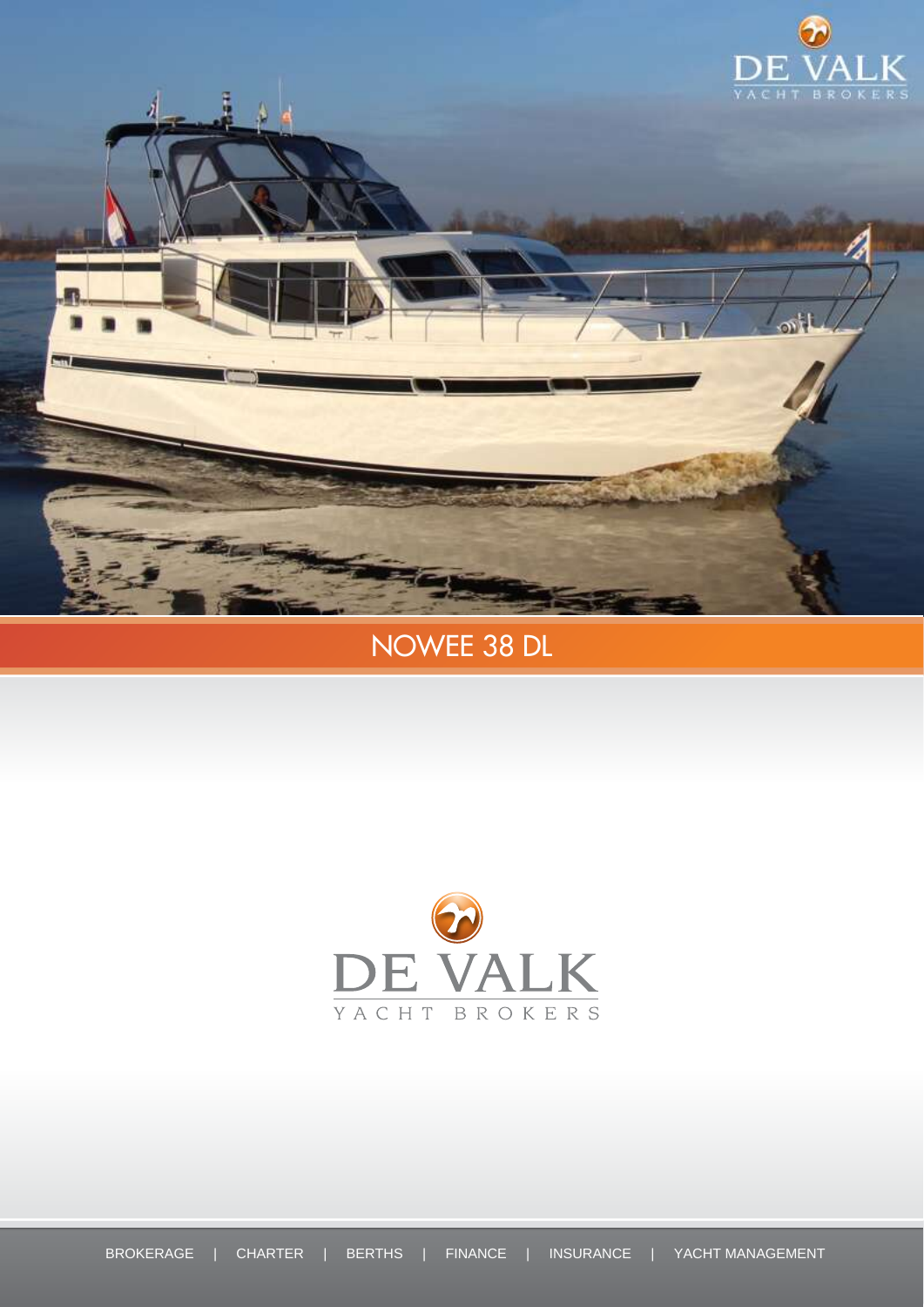

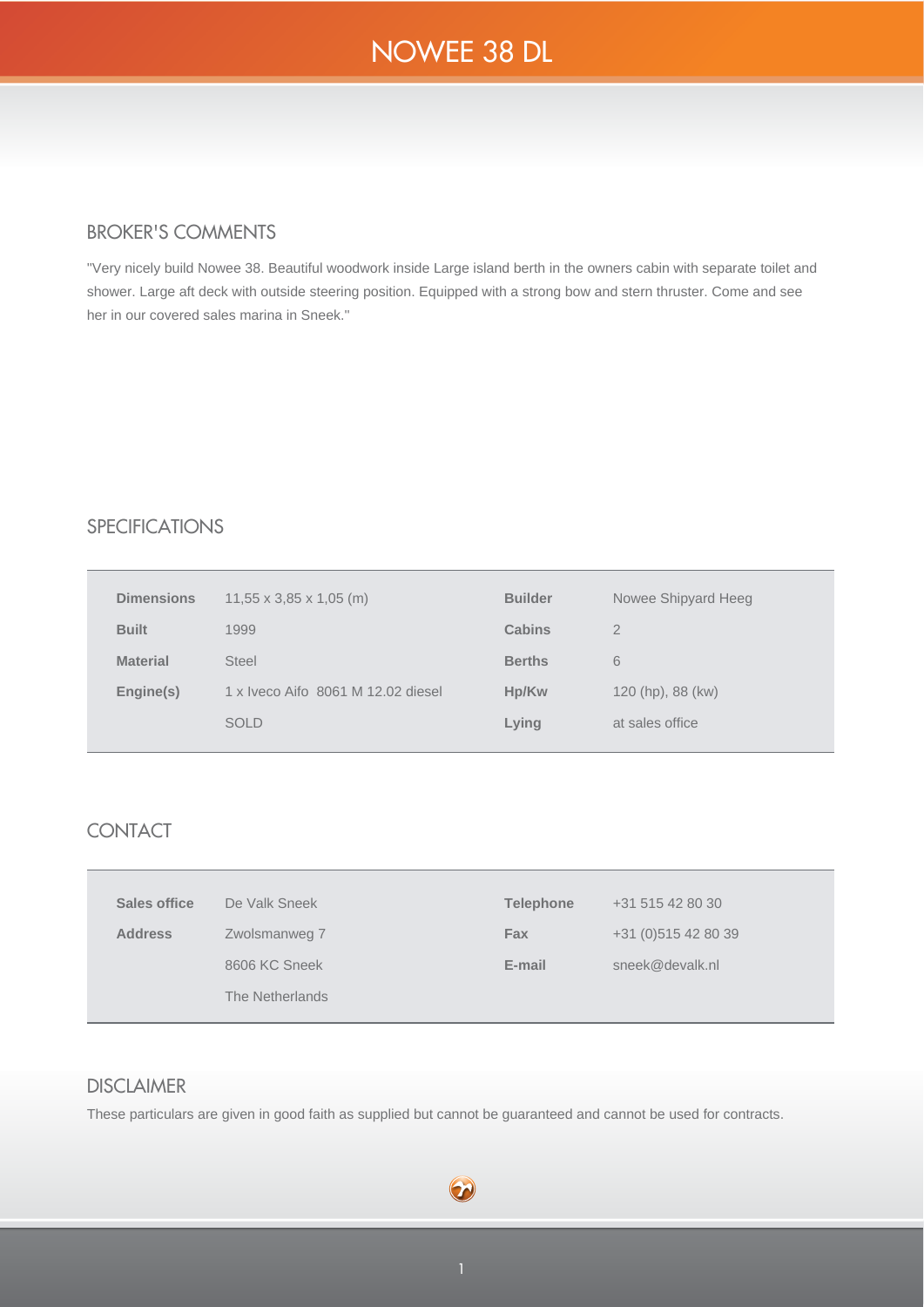#### **BROKER'S COMMENTS**

''Very nicely build Nowee 38. Beautiful woodwork inside Large island berth in the owners cabin with separate toilet and shower. Large aft deck with outside steering position. Equipped with a strong bow and stern thruster. Come and see her in our covered sales marina in Sneek.''

#### **SPECIFICATIONS**

| <b>Dimensions</b> | $11,55 \times 3,85 \times 1,05$ (m) | <b>Builder</b> | Nowee Shipyard Heeg |
|-------------------|-------------------------------------|----------------|---------------------|
| <b>Built</b>      | 1999                                | Cabins         | 2                   |
| <b>Material</b>   | <b>Steel</b>                        | <b>Berths</b>  | 6                   |
| Engine(s)         | 1 x Iveco Aifo 8061 M 12.02 diesel  | Hp/Kw          | $120$ (hp), 88 (kw) |
|                   | <b>SOLD</b>                         | Lying          | at sales office     |
|                   |                                     |                |                     |

#### **CONTACT**

#### **DISCLAIMER**

These particulars are given in good faith as supplied but cannot be guaranteed and cannot be used for contracts.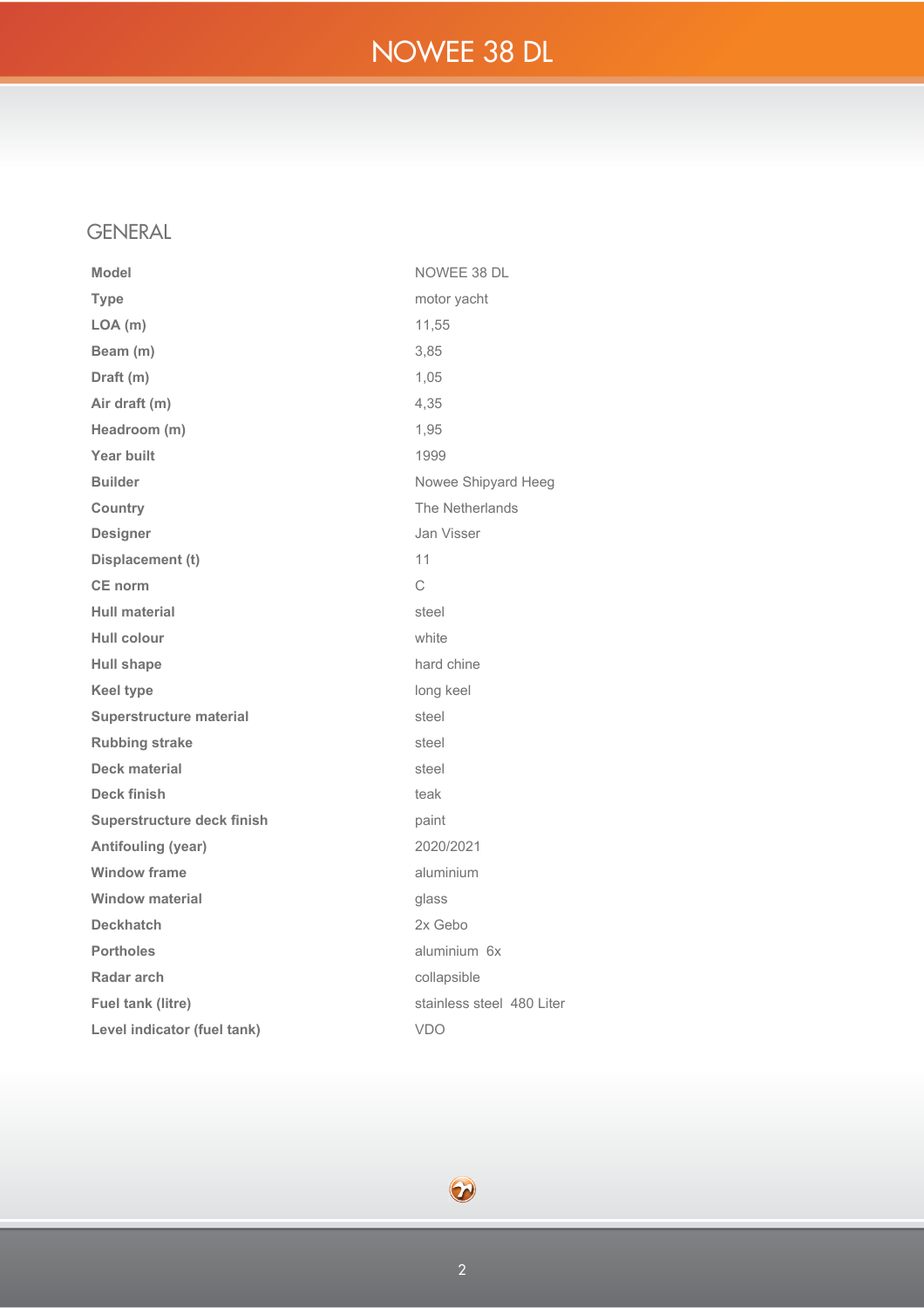#### **GENERAL**

| <b>Model</b>                   | NOWEE 38 DL               |
|--------------------------------|---------------------------|
| <b>Type</b>                    | motor yacht               |
| LOA(m)                         | 11,55                     |
| Beam (m)                       | 3,85                      |
| Draft (m)                      | 1,05                      |
| Air draft (m)                  | 4,35                      |
| Headroom (m)                   | 1,95                      |
| Year built                     | 1999                      |
| <b>Builder</b>                 | Nowee Shipyard Heeg       |
| Country                        | The Netherlands           |
| <b>Designer</b>                | Jan Visser                |
| Displacement (t)               | 11                        |
| CE norm                        | C                         |
| <b>Hull material</b>           | steel                     |
| <b>Hull colour</b>             | white                     |
| <b>Hull shape</b>              | hard chine                |
| <b>Keel type</b>               | long keel                 |
| <b>Superstructure material</b> | steel                     |
| <b>Rubbing strake</b>          | steel                     |
| Deck material                  | steel                     |
| Deck finish                    | teak                      |
| Superstructure deck finish     | paint                     |
| Antifouling (year)             | 2020/2021                 |
| <b>Window frame</b>            | aluminium                 |
| <b>Window material</b>         | glass                     |
| <b>Deckhatch</b>               | 2x Gebo                   |
| <b>Portholes</b>               | aluminium 6x              |
| Radar arch                     | collapsible               |
| Fuel tank (litre)              | stainless steel 480 Liter |
| Level indicator (fuel tank)    | <b>VDO</b>                |

 $\odot$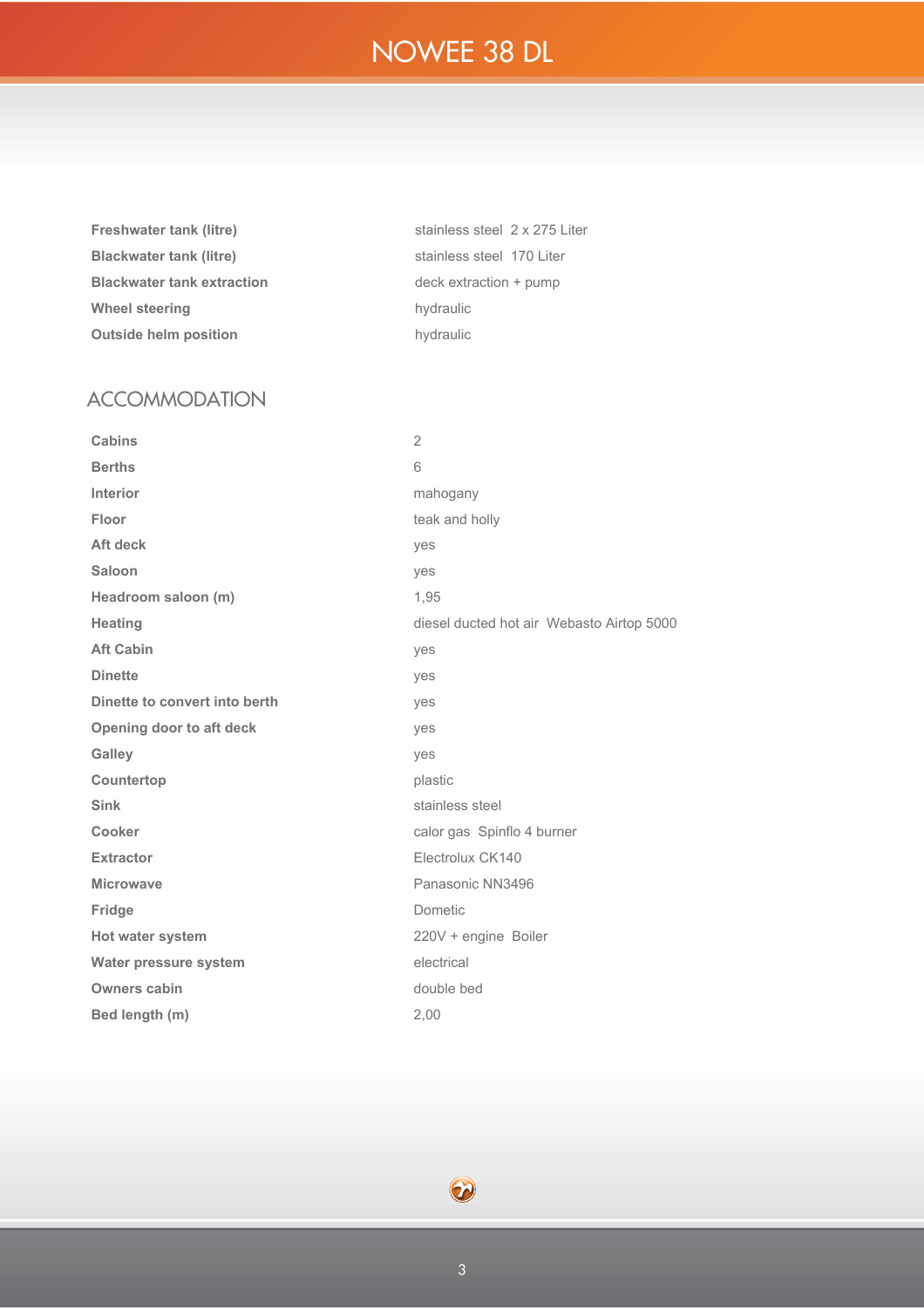| <b>Freshwater tank (litre)</b>    | stainless steel 2 x 275 Liter |
|-----------------------------------|-------------------------------|
| <b>Blackwater tank (litre)</b>    | stainless steel 170 Liter     |
| <b>Blackwater tank extraction</b> | $deck$ extraction $+$ pump    |
| <b>Wheel steering</b>             | hydraulic                     |
| <b>Outside helm position</b>      | hydraulic                     |

#### **ACCOMMODATION**

| Cabins                        | $\overline{2}$                            |
|-------------------------------|-------------------------------------------|
| <b>Berths</b>                 | 6                                         |
| Interior                      | mahogany                                  |
| <b>Floor</b>                  | teak and holly                            |
| Aft deck                      | yes                                       |
| Saloon                        | yes                                       |
| Headroom saloon (m)           | 1,95                                      |
| <b>Heating</b>                | diesel ducted hot air Webasto Airtop 5000 |
| <b>Aft Cabin</b>              | yes                                       |
| <b>Dinette</b>                | yes                                       |
| Dinette to convert into berth | yes                                       |
| Opening door to aft deck      | yes                                       |
| Galley                        | yes                                       |
| Countertop                    | plastic                                   |
| <b>Sink</b>                   | stainless steel                           |
| Cooker                        | calor gas Spinflo 4 burner                |
| <b>Extractor</b>              | Electrolux CK140                          |
| <b>Microwave</b>              | Panasonic NN3496                          |
| Fridge                        | Dometic                                   |
| <b>Hot water system</b>       | 220V + engine Boiler                      |
| Water pressure system         | electrical                                |
| Owners cabin                  | double bed                                |
| Bed length (m)                | 2,00                                      |

 $\bigodot$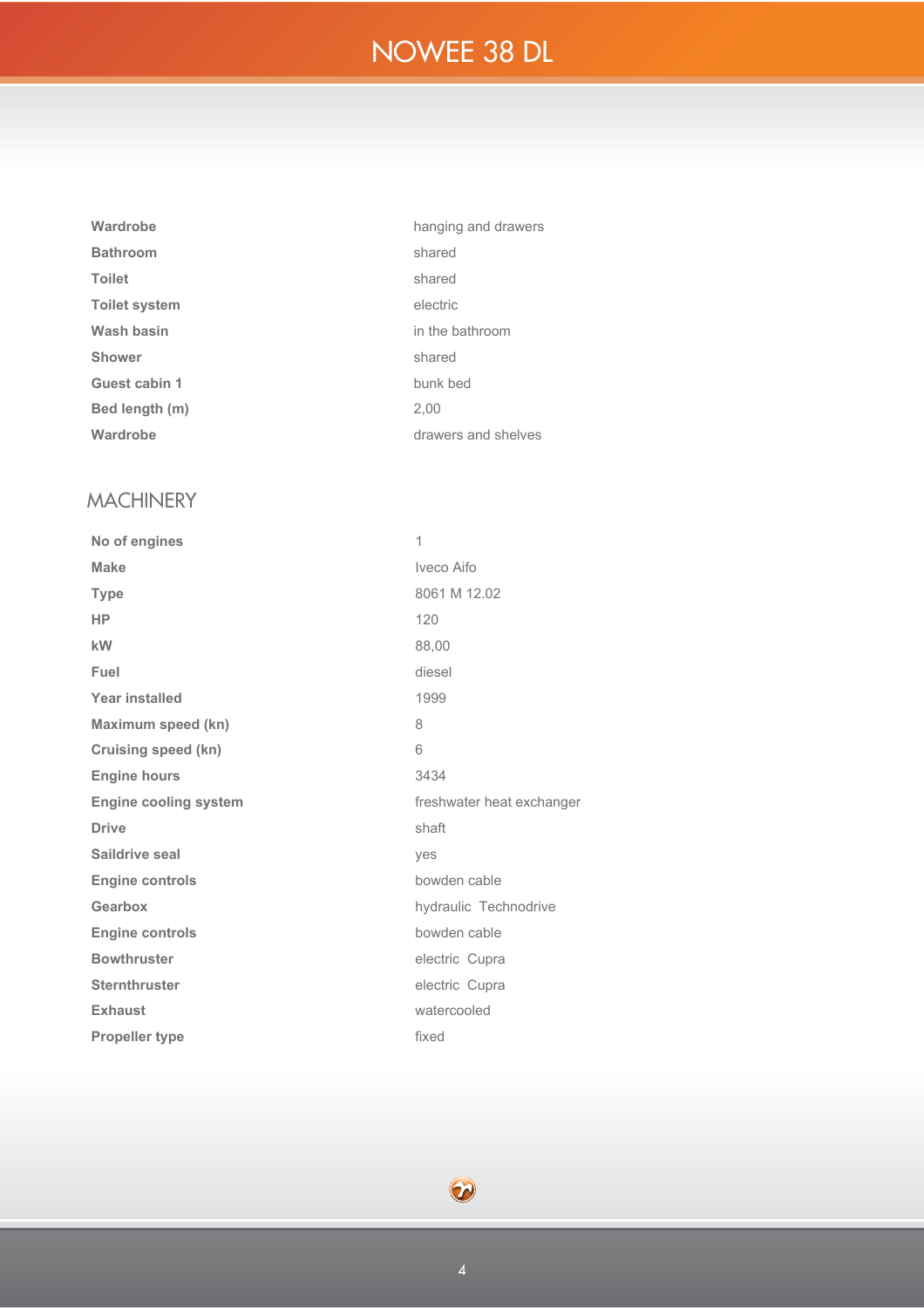| Wardrobe             | hanging and drawers |
|----------------------|---------------------|
| <b>Bathroom</b>      | shared              |
| <b>Toilet</b>        | shared              |
| <b>Toilet system</b> | electric            |
| Wash basin           | in the bathroom     |
| Shower               | shared              |
| Guest cabin 1        | bunk bed            |
| Bed length (m)       | 2.00                |
| Wardrobe             | drawers and shelves |
|                      |                     |

### **MACHINERY**

| No of engines                | 1                         |
|------------------------------|---------------------------|
| <b>Make</b>                  | Iveco Aifo                |
| <b>Type</b>                  | 8061 M 12.02              |
| <b>HP</b>                    | 120                       |
| kW                           | 88,00                     |
| Fuel                         | diesel                    |
| Year installed               | 1999                      |
| Maximum speed (kn)           | 8                         |
| <b>Cruising speed (kn)</b>   | 6                         |
| <b>Engine hours</b>          | 3434                      |
| <b>Engine cooling system</b> | freshwater heat exchanger |
| <b>Drive</b>                 | shaft                     |
| Saildrive seal               | ves                       |
| <b>Engine controls</b>       | bowden cable              |
| Gearbox                      | hydraulic Technodrive     |
| <b>Engine controls</b>       | bowden cable              |
| <b>Bowthruster</b>           | electric Cupra            |
| Sternthruster                | electric Cupra            |
| <b>Exhaust</b>               | watercooled               |
| <b>Propeller type</b>        | fixed                     |
|                              |                           |

 $\odot$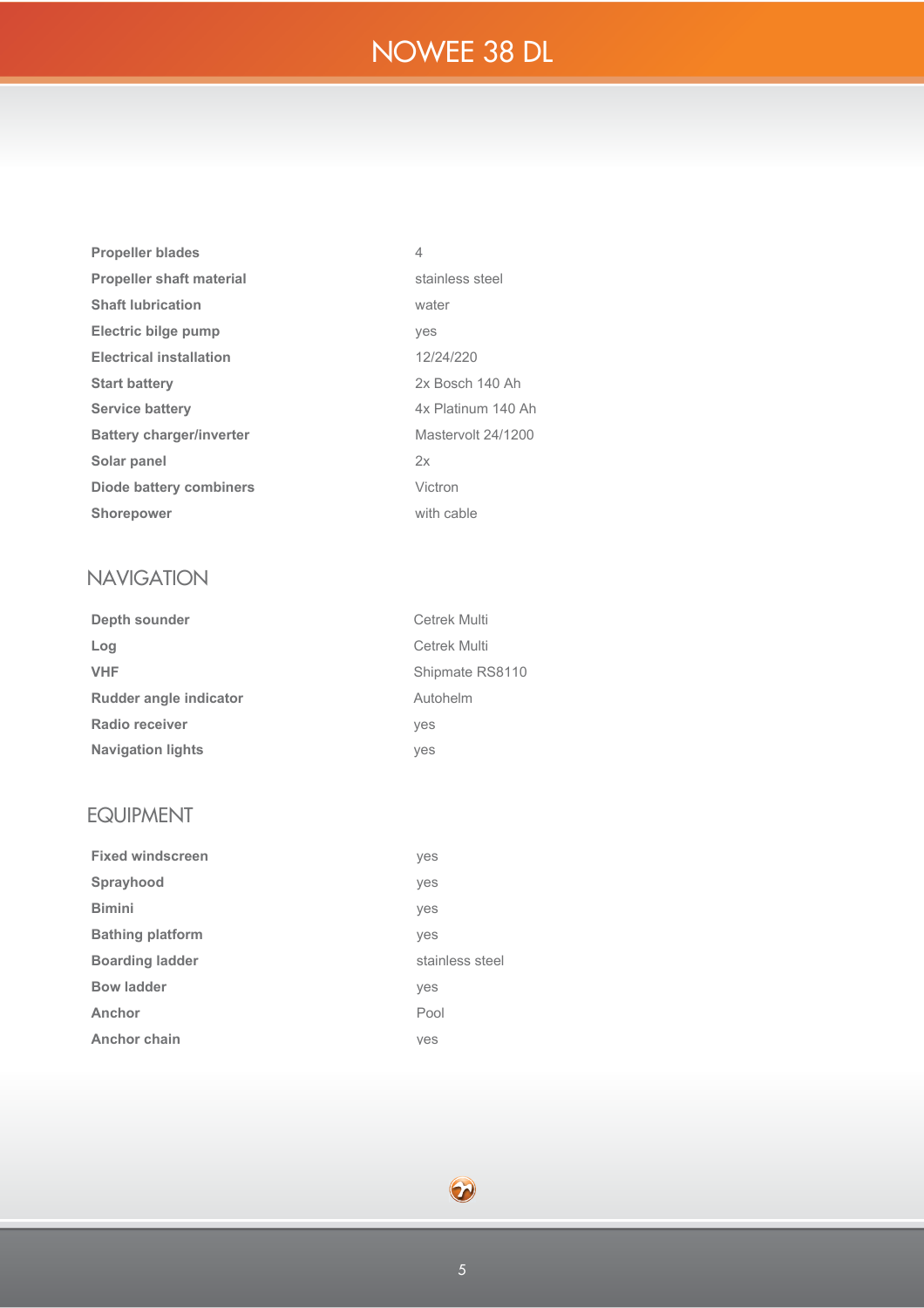| <b>Propeller blades</b>         | 4                  |
|---------------------------------|--------------------|
| <b>Propeller shaft material</b> | stainless steel    |
| <b>Shaft lubrication</b>        | water              |
| Electric bilge pump             | ves                |
| <b>Electrical installation</b>  | 12/24/220          |
| <b>Start battery</b>            | 2x Bosch 140 Ah    |
| <b>Service battery</b>          | 4x Platinum 140 Ah |
| <b>Battery charger/inverter</b> | Mastervolt 24/1200 |
| Solar panel                     | 2x                 |
| Diode battery combiners         | Victron            |
| <b>Shorepower</b>               | with cable         |
|                                 |                    |

### **NAVIGATION**

| Depth sounder            | Cetrek Multi    |
|--------------------------|-----------------|
| Log                      | Cetrek Multi    |
| <b>VHF</b>               | Shipmate RS8110 |
| Rudder angle indicator   | Autohelm        |
| <b>Radio receiver</b>    | yes             |
| <b>Navigation lights</b> | ves             |

### **EQUIPMENT**

| <b>Fixed windscreen</b> | yes             |
|-------------------------|-----------------|
| Sprayhood               | yes             |
| <b>Bimini</b>           | yes             |
| <b>Bathing platform</b> | yes             |
| <b>Boarding ladder</b>  | stainless steel |
| <b>Bow ladder</b>       | yes             |
| Anchor                  | Pool            |
| Anchor chain            | ves             |

 $\odot$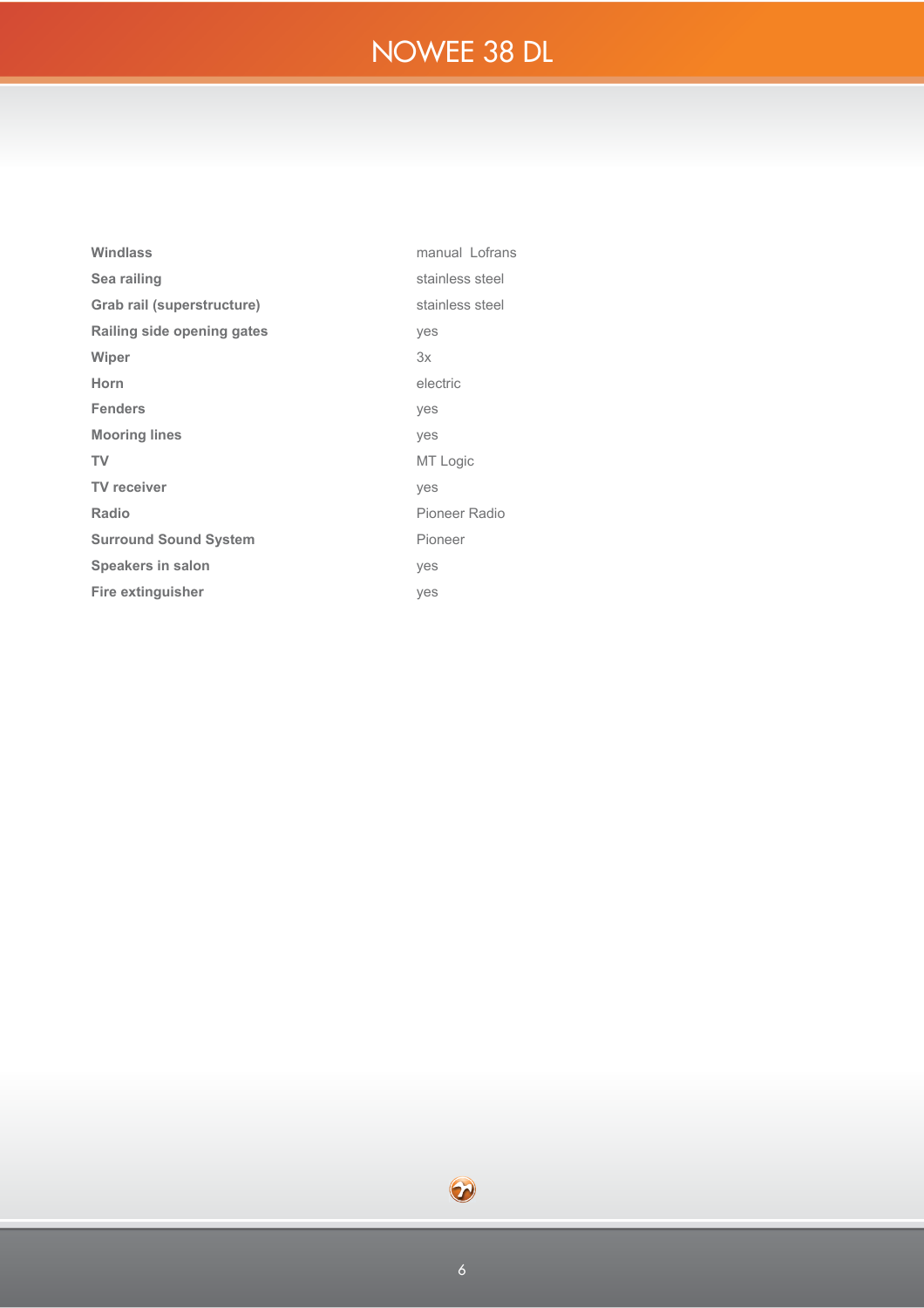| <b>Windlass</b>              | manual Lofrans  |
|------------------------------|-----------------|
| Sea railing                  | stainless steel |
| Grab rail (superstructure)   | stainless steel |
| Railing side opening gates   | yes             |
| Wiper                        | 3x              |
| Horn                         | electric        |
| <b>Fenders</b>               | yes             |
| <b>Mooring lines</b>         | yes             |
| TV                           | MT Logic        |
| <b>TV</b> receiver           | yes             |
| Radio                        | Pioneer Radio   |
| <b>Surround Sound System</b> | Pioneer         |
| <b>Speakers in salon</b>     | yes             |
| <b>Fire extinguisher</b>     | yes             |

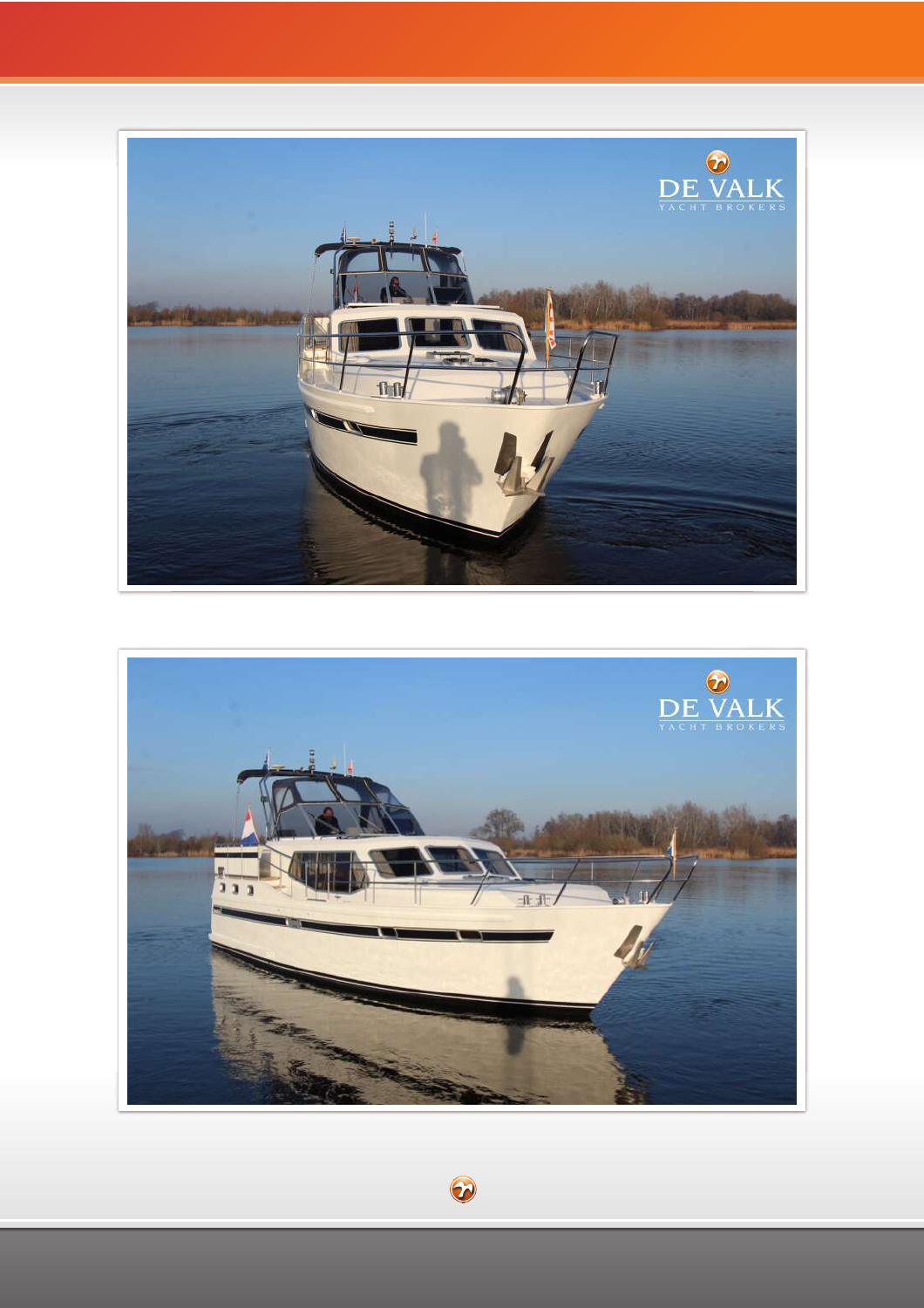# $12:($



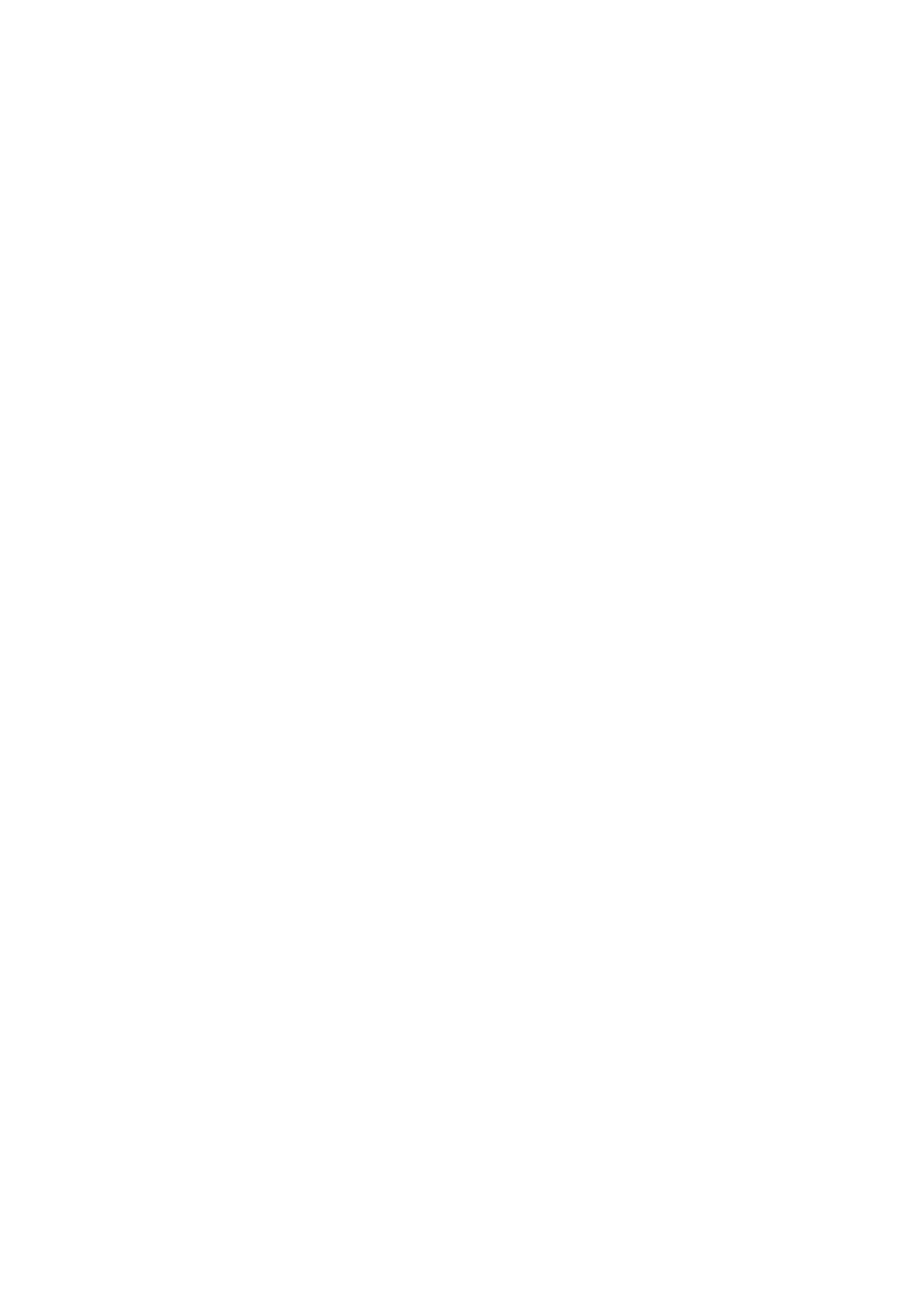| ---- |  |
|------|--|
|      |  |
|      |  |
|      |  |
|      |  |
|      |  |
|      |  |
|      |  |
|      |  |
|      |  |
|      |  |
|      |  |
|      |  |
|      |  |
|      |  |
|      |  |
|      |  |
|      |  |
|      |  |
|      |  |
|      |  |
|      |  |
|      |  |
|      |  |
|      |  |
|      |  |
|      |  |
|      |  |
|      |  |
|      |  |
|      |  |
|      |  |
|      |  |
|      |  |
|      |  |
|      |  |
|      |  |
|      |  |
|      |  |
|      |  |
|      |  |
|      |  |
|      |  |
|      |  |
|      |  |
|      |  |
|      |  |
|      |  |
|      |  |
|      |  |
|      |  |
|      |  |
|      |  |
|      |  |
|      |  |
|      |  |
|      |  |
|      |  |
|      |  |

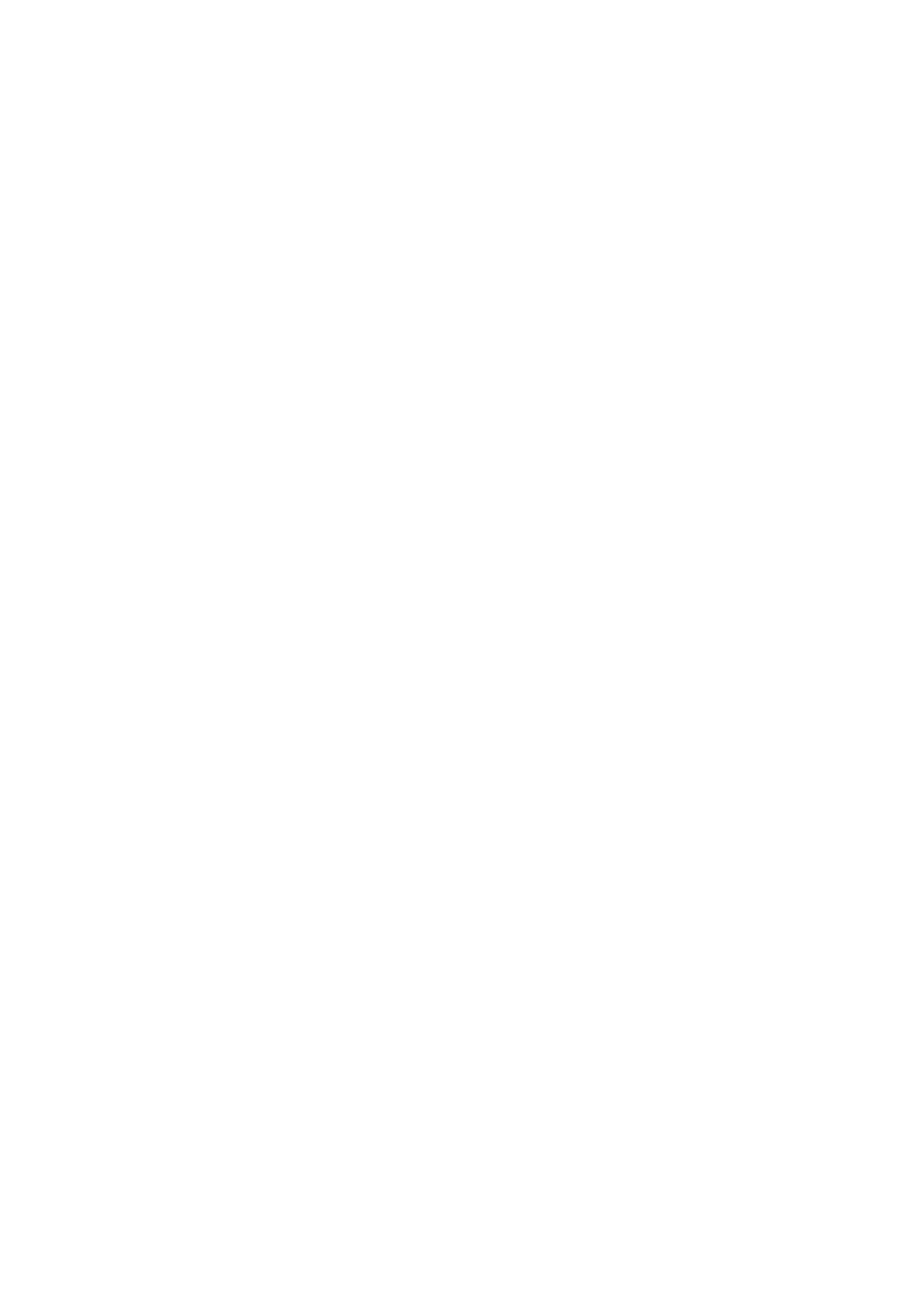| ---- |  |
|------|--|
|      |  |
|      |  |
|      |  |
|      |  |
|      |  |
|      |  |
|      |  |
|      |  |
|      |  |
|      |  |
|      |  |
|      |  |
|      |  |
|      |  |
|      |  |
|      |  |
|      |  |
|      |  |
|      |  |
|      |  |
|      |  |
|      |  |
|      |  |
|      |  |
|      |  |
|      |  |
|      |  |
|      |  |
|      |  |
|      |  |
|      |  |
|      |  |
|      |  |
|      |  |
|      |  |
|      |  |
|      |  |
|      |  |
|      |  |
|      |  |
|      |  |
|      |  |
|      |  |
|      |  |
|      |  |
|      |  |
|      |  |
|      |  |
|      |  |
|      |  |
|      |  |
|      |  |
|      |  |
|      |  |
|      |  |
|      |  |
|      |  |
|      |  |

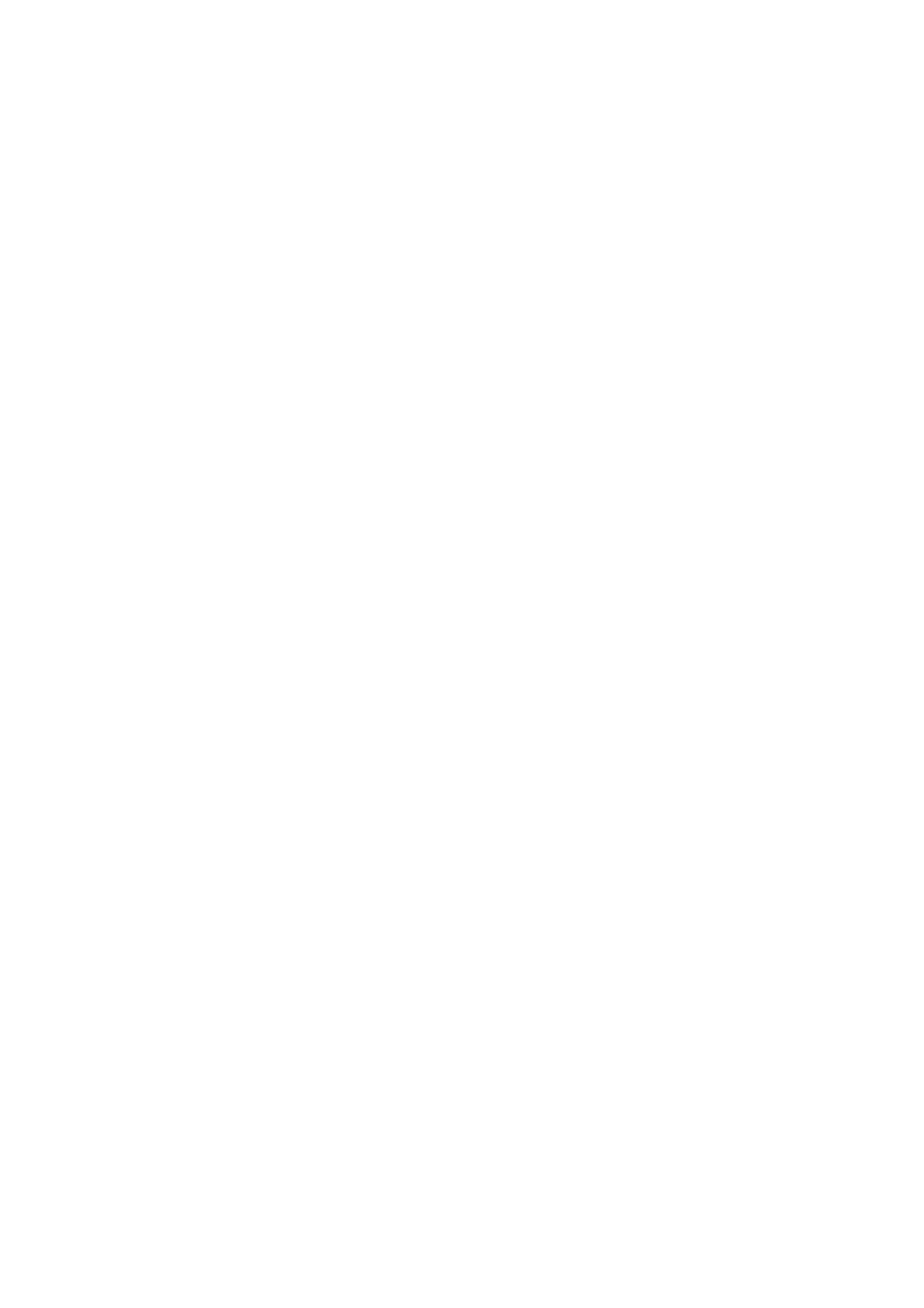| ---- |  |
|------|--|
|      |  |
|      |  |
|      |  |
|      |  |
|      |  |
|      |  |
|      |  |
|      |  |
|      |  |
|      |  |
|      |  |
|      |  |
|      |  |
|      |  |
|      |  |
|      |  |
|      |  |
|      |  |
|      |  |
|      |  |
|      |  |
|      |  |
|      |  |
|      |  |
|      |  |
|      |  |
|      |  |
|      |  |
|      |  |
|      |  |
|      |  |
|      |  |
|      |  |
|      |  |
|      |  |
|      |  |
|      |  |
|      |  |
|      |  |
|      |  |
|      |  |
|      |  |
|      |  |
|      |  |
|      |  |
|      |  |
|      |  |
|      |  |
|      |  |
|      |  |
|      |  |
|      |  |
|      |  |
|      |  |
|      |  |
|      |  |
|      |  |
|      |  |

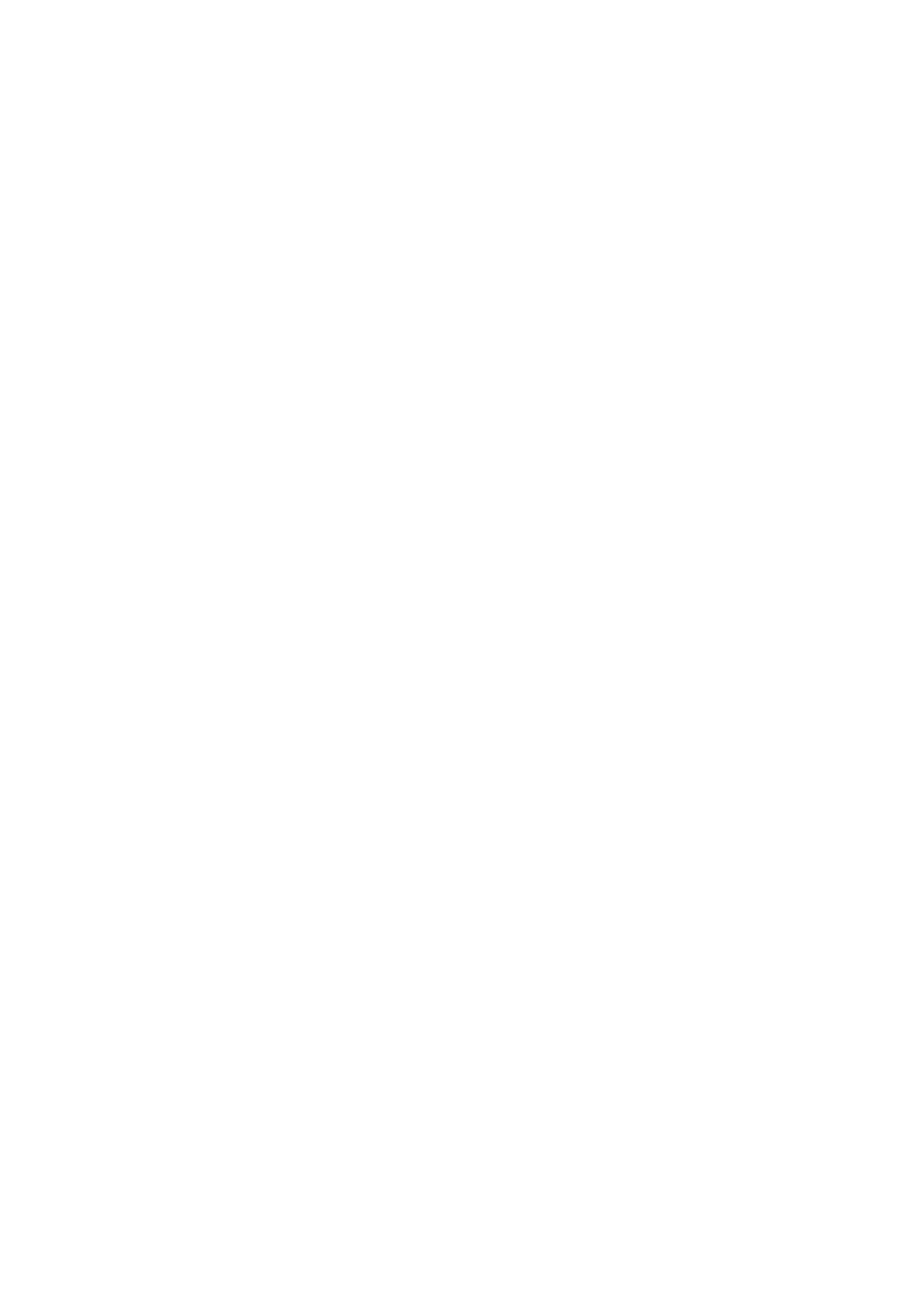| ---- |  |
|------|--|
|      |  |
|      |  |
|      |  |
|      |  |
|      |  |
|      |  |
|      |  |
|      |  |
|      |  |
|      |  |
|      |  |
|      |  |
|      |  |
|      |  |
|      |  |
|      |  |
|      |  |
|      |  |
|      |  |
|      |  |
|      |  |
|      |  |
|      |  |
|      |  |
|      |  |
|      |  |
|      |  |
|      |  |
|      |  |
|      |  |
|      |  |
|      |  |
|      |  |
|      |  |
|      |  |
|      |  |
|      |  |
|      |  |
|      |  |
|      |  |
|      |  |
|      |  |
|      |  |
|      |  |
|      |  |
|      |  |
|      |  |
|      |  |
|      |  |
|      |  |
|      |  |
|      |  |
|      |  |
|      |  |
|      |  |
|      |  |
|      |  |
|      |  |

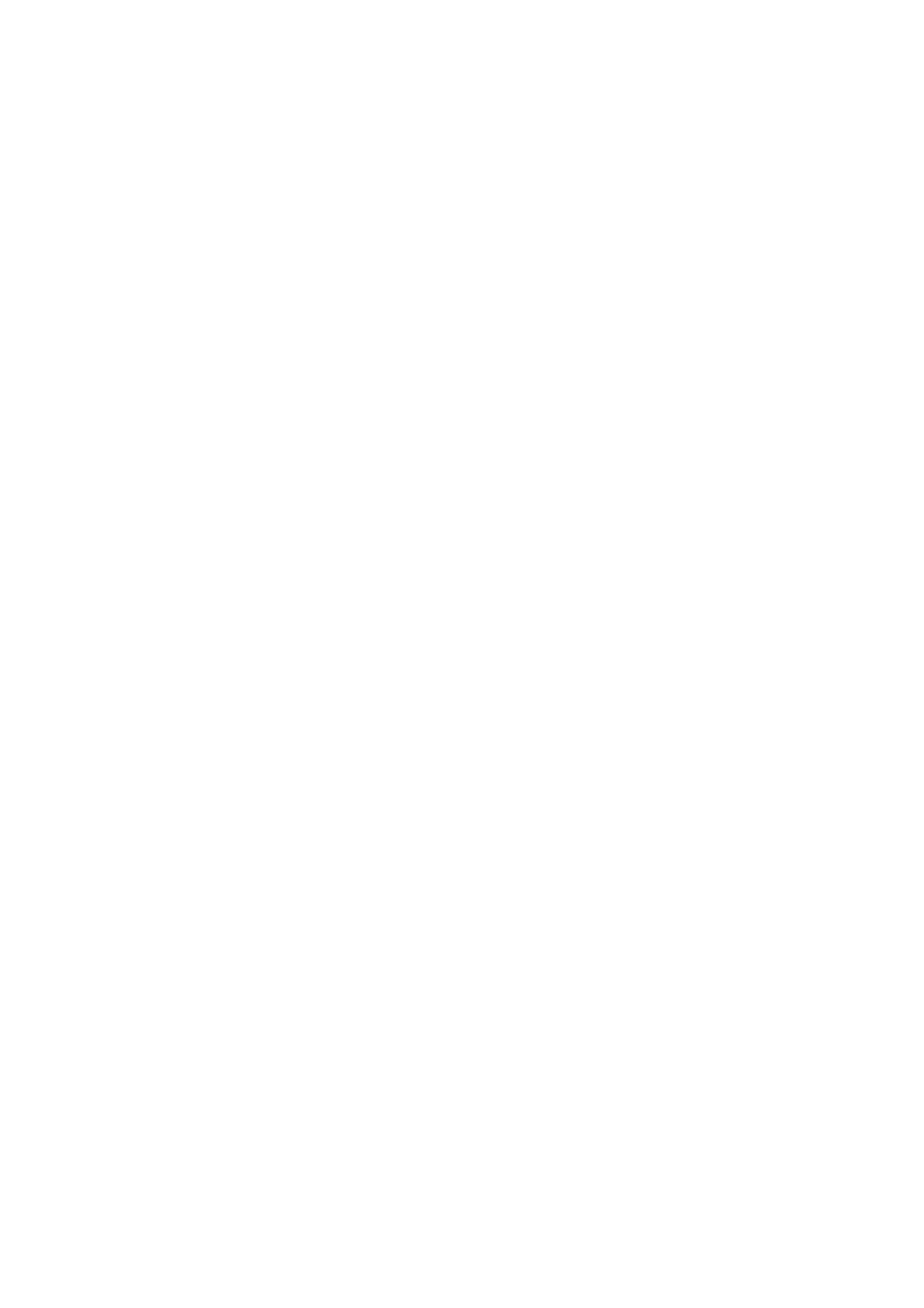| ---- |  |
|------|--|
|      |  |
|      |  |
|      |  |
|      |  |
|      |  |
|      |  |
|      |  |
|      |  |
|      |  |
|      |  |
|      |  |
|      |  |
|      |  |
|      |  |
|      |  |
|      |  |
|      |  |
|      |  |
|      |  |
|      |  |
|      |  |
|      |  |
|      |  |
|      |  |
|      |  |
|      |  |
|      |  |
|      |  |
|      |  |
|      |  |
|      |  |
|      |  |
|      |  |
|      |  |
|      |  |
|      |  |
|      |  |
|      |  |
|      |  |
|      |  |
|      |  |
|      |  |
|      |  |
|      |  |
|      |  |
|      |  |
|      |  |
|      |  |
|      |  |
|      |  |
|      |  |
|      |  |
|      |  |
|      |  |
|      |  |
|      |  |
|      |  |
|      |  |

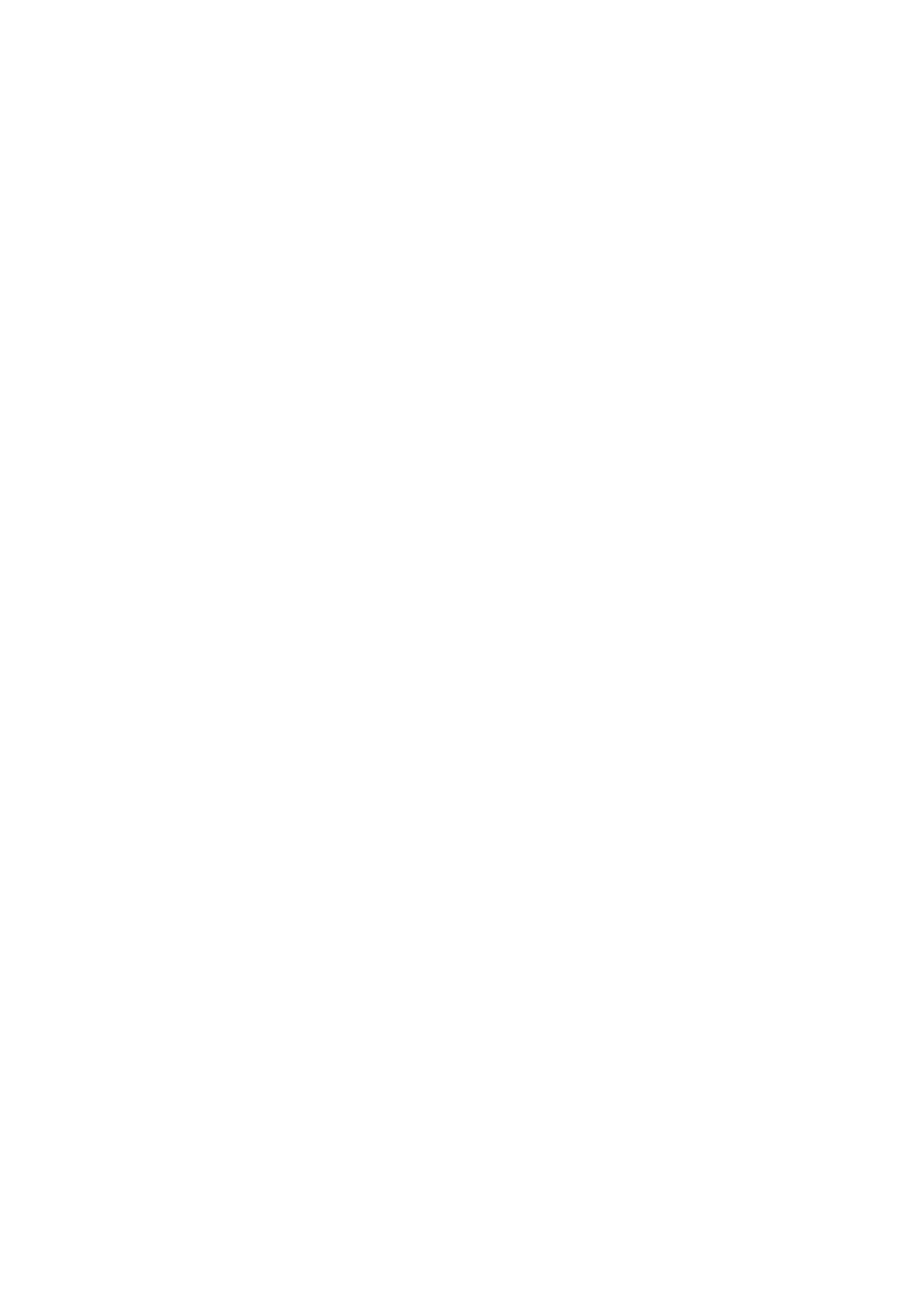| ---- |  |
|------|--|
|      |  |
|      |  |
|      |  |
|      |  |
|      |  |
|      |  |
|      |  |
|      |  |
|      |  |
|      |  |
|      |  |
|      |  |
|      |  |
|      |  |
|      |  |
|      |  |
|      |  |
|      |  |
|      |  |
|      |  |
|      |  |
|      |  |
|      |  |
|      |  |
|      |  |
|      |  |
|      |  |
|      |  |
|      |  |
|      |  |
|      |  |
|      |  |
|      |  |
|      |  |
|      |  |
|      |  |
|      |  |
|      |  |
|      |  |
|      |  |
|      |  |
|      |  |
|      |  |
|      |  |
|      |  |
|      |  |
|      |  |
|      |  |
|      |  |
|      |  |
|      |  |
|      |  |
|      |  |
|      |  |
|      |  |
|      |  |
|      |  |
|      |  |

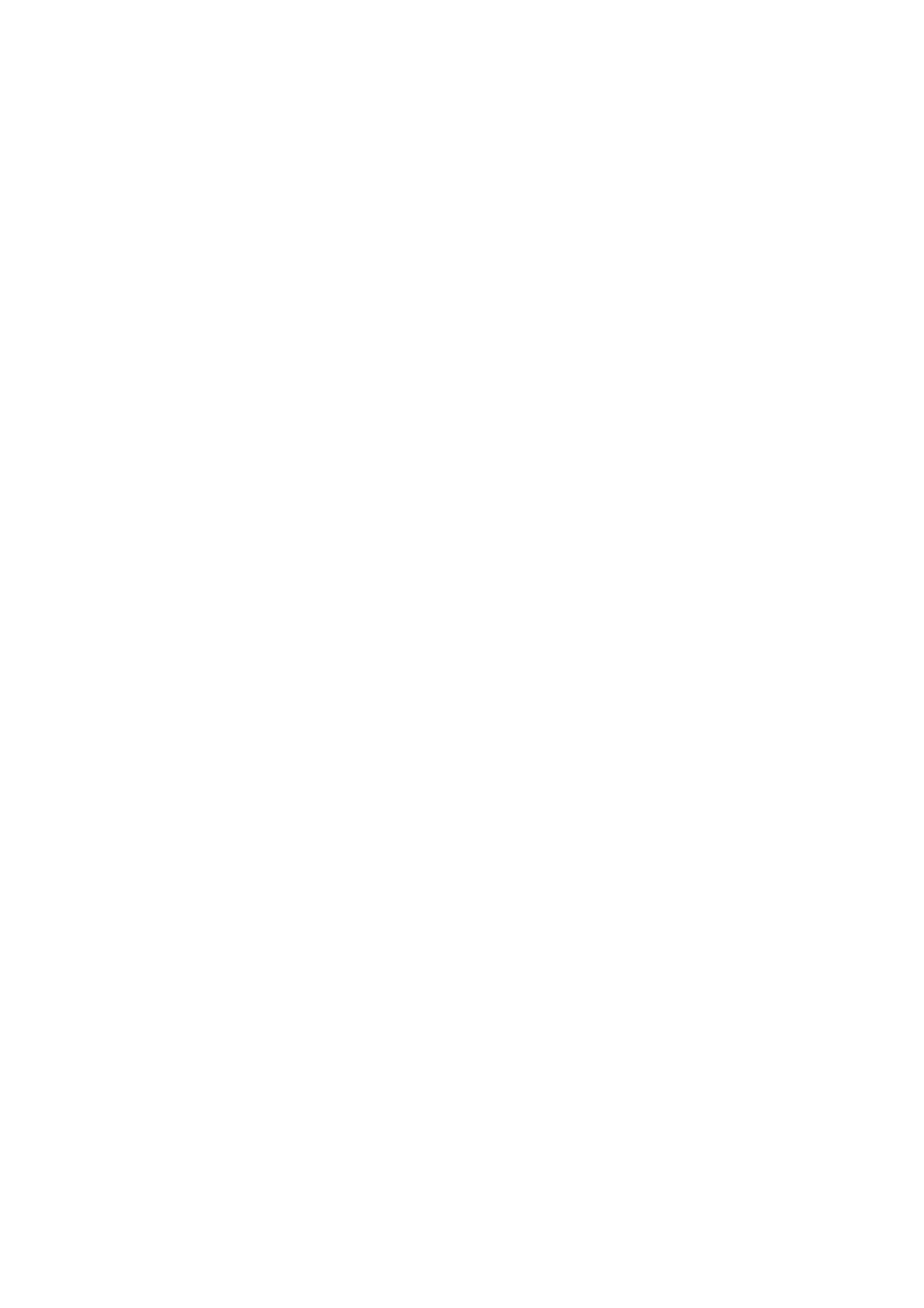| ---- |  |
|------|--|
|      |  |
|      |  |
|      |  |
|      |  |
|      |  |
|      |  |
|      |  |
|      |  |
|      |  |
|      |  |
|      |  |
|      |  |
|      |  |
|      |  |
|      |  |
|      |  |
|      |  |
|      |  |
|      |  |
|      |  |
|      |  |
|      |  |
|      |  |
|      |  |
|      |  |
|      |  |
|      |  |
|      |  |
|      |  |
|      |  |
|      |  |
|      |  |
|      |  |
|      |  |
|      |  |
|      |  |
|      |  |
|      |  |
|      |  |
|      |  |
|      |  |
|      |  |
|      |  |
|      |  |
|      |  |
|      |  |
|      |  |
|      |  |
|      |  |
|      |  |
|      |  |
|      |  |
|      |  |
|      |  |
|      |  |
|      |  |
|      |  |
|      |  |

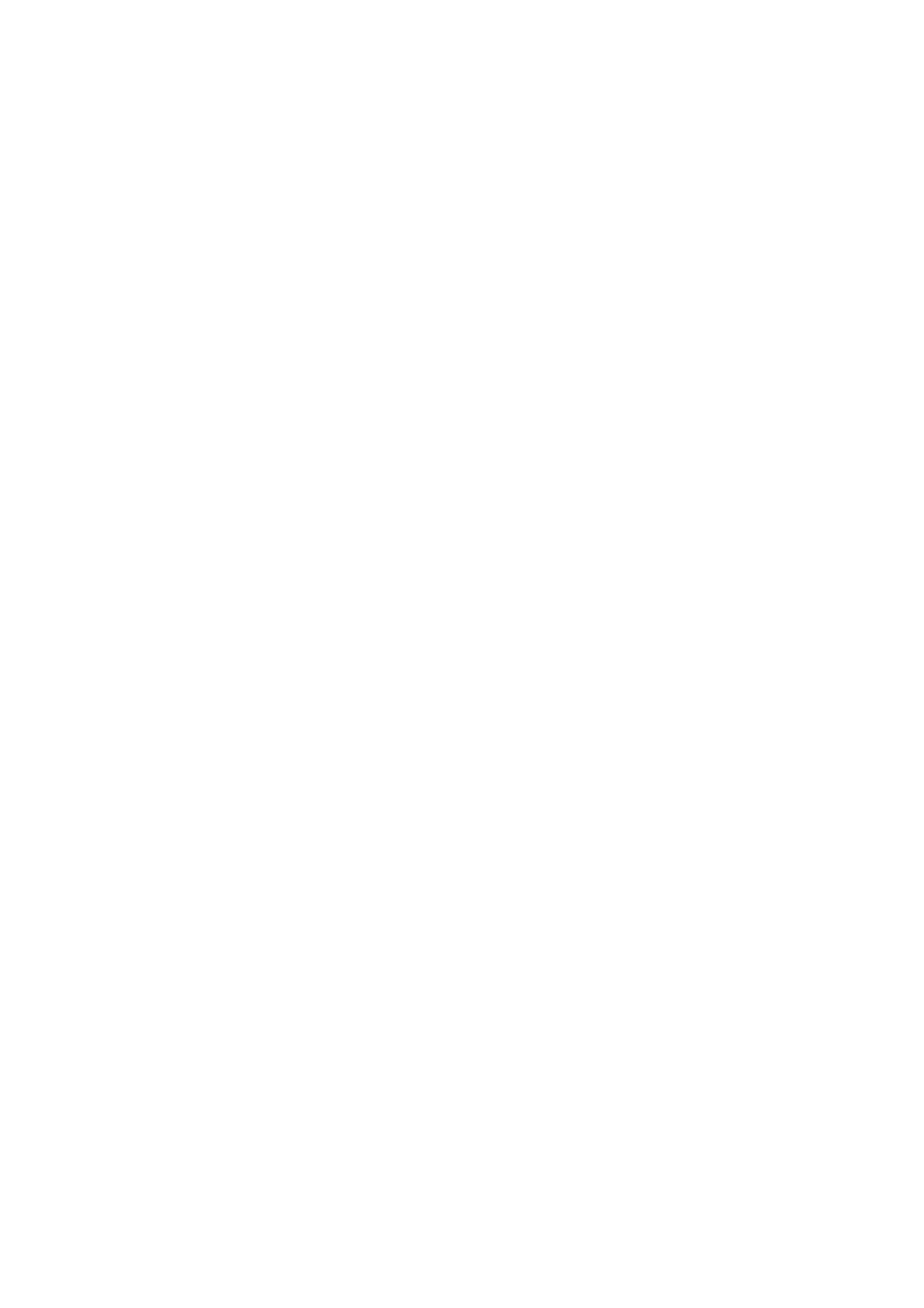| ---- |  |
|------|--|
|      |  |
|      |  |
|      |  |
|      |  |
|      |  |
|      |  |
|      |  |
|      |  |
|      |  |
|      |  |
|      |  |
|      |  |
|      |  |
|      |  |
|      |  |
|      |  |
|      |  |
|      |  |
|      |  |
|      |  |
|      |  |
|      |  |
|      |  |
|      |  |
|      |  |
|      |  |
|      |  |
|      |  |
|      |  |
|      |  |
|      |  |
|      |  |
|      |  |
|      |  |
|      |  |
|      |  |
|      |  |
|      |  |
|      |  |
|      |  |
|      |  |
|      |  |
|      |  |
|      |  |
|      |  |
|      |  |
|      |  |
|      |  |
|      |  |
|      |  |
|      |  |
|      |  |
|      |  |
|      |  |
|      |  |
|      |  |
|      |  |
|      |  |

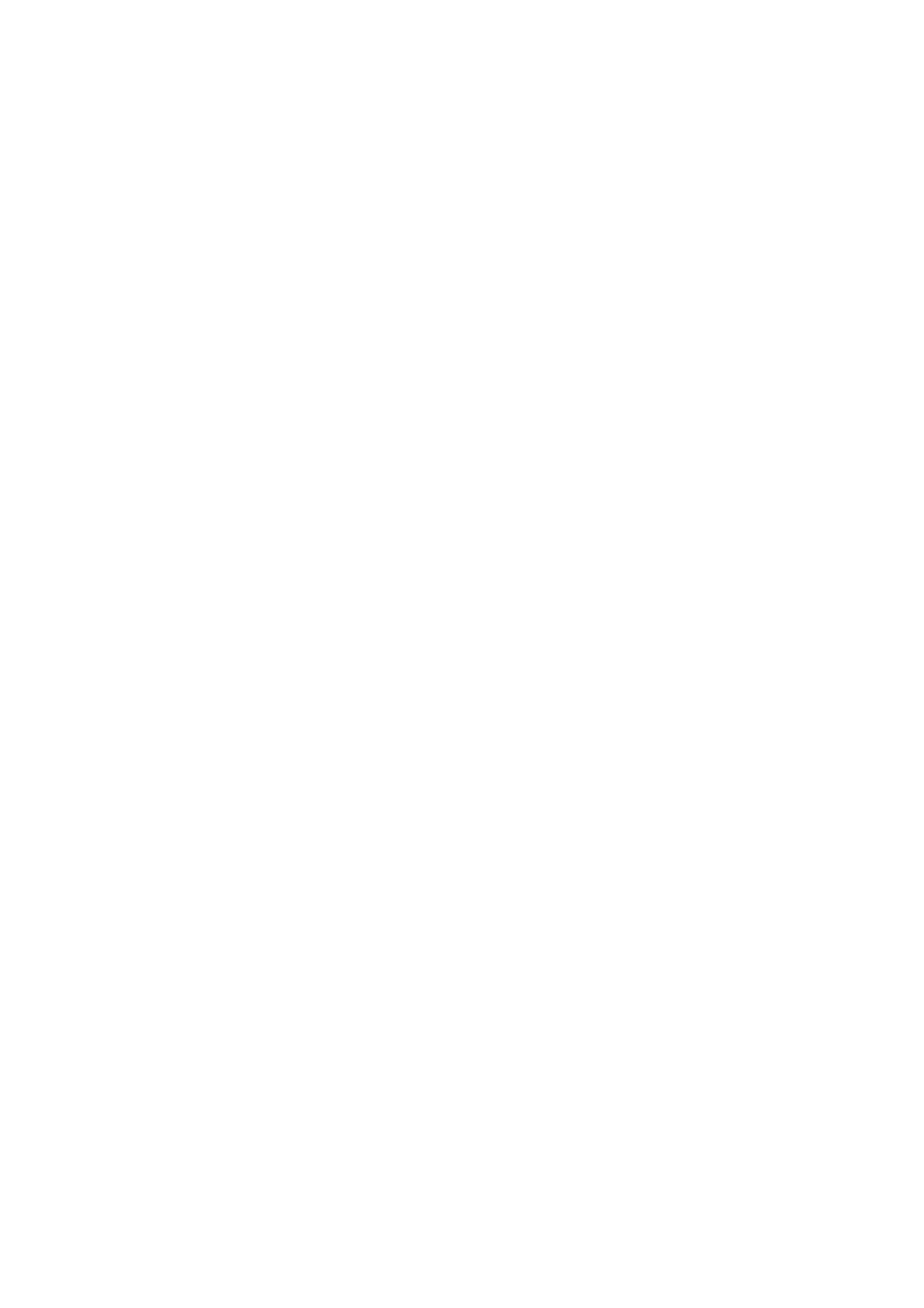| ---- |  |
|------|--|
|      |  |
|      |  |
|      |  |
|      |  |
|      |  |
|      |  |
|      |  |
|      |  |
|      |  |
|      |  |
|      |  |
|      |  |
|      |  |
|      |  |
|      |  |
|      |  |
|      |  |
|      |  |
|      |  |
|      |  |
|      |  |
|      |  |
|      |  |
|      |  |
|      |  |
|      |  |
|      |  |
|      |  |
|      |  |
|      |  |
|      |  |
|      |  |
|      |  |
|      |  |
|      |  |
|      |  |
|      |  |
|      |  |
|      |  |
|      |  |
|      |  |
|      |  |
|      |  |
|      |  |
|      |  |
|      |  |
|      |  |
|      |  |
|      |  |
|      |  |
|      |  |
|      |  |
|      |  |
|      |  |
|      |  |
|      |  |
|      |  |
|      |  |

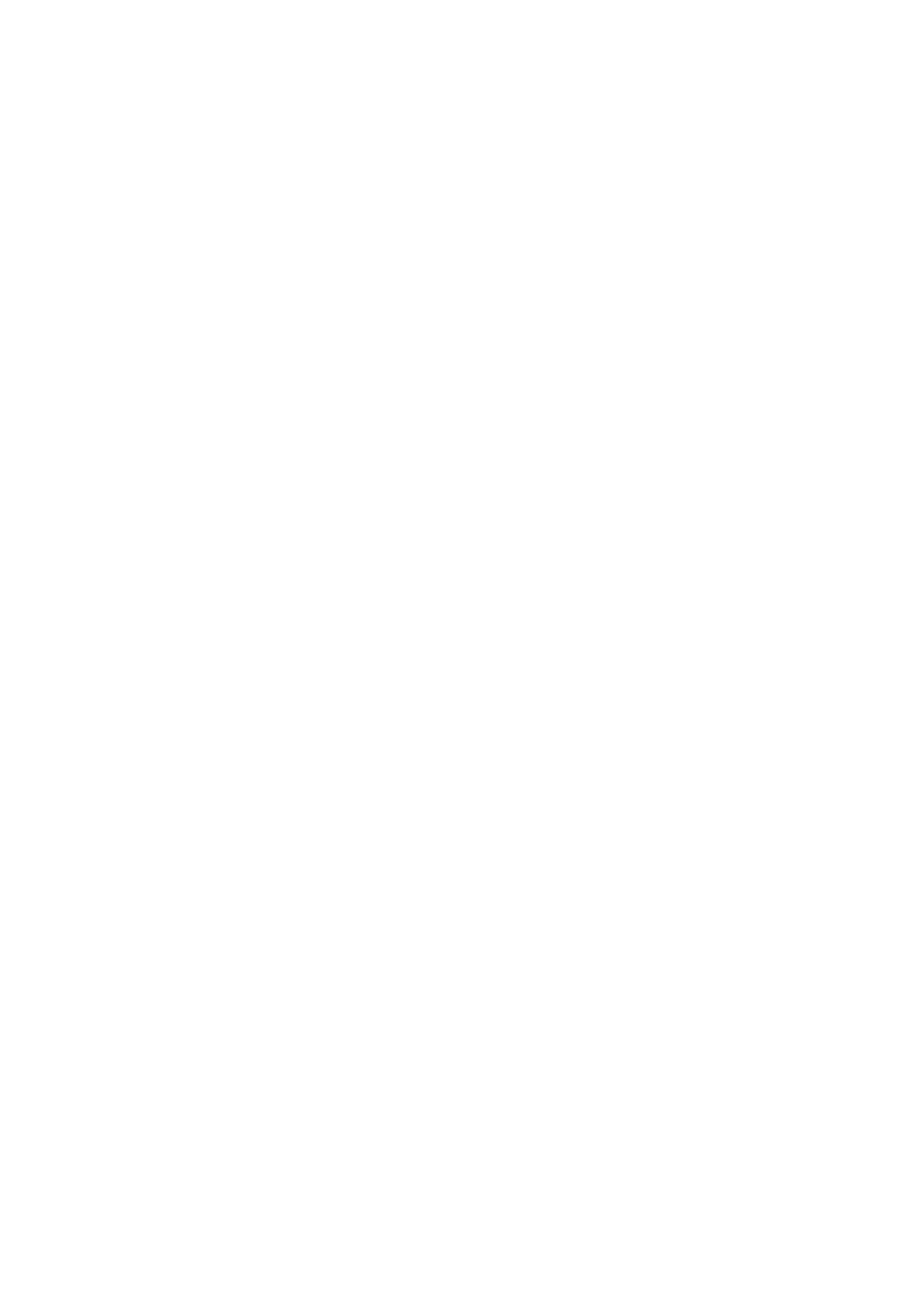| ---- |  |
|------|--|
|      |  |
|      |  |
|      |  |
|      |  |
|      |  |
|      |  |
|      |  |
|      |  |
|      |  |
|      |  |
|      |  |
|      |  |
|      |  |
|      |  |
|      |  |
|      |  |
|      |  |
|      |  |
|      |  |
|      |  |
|      |  |
|      |  |
|      |  |
|      |  |
|      |  |
|      |  |
|      |  |
|      |  |
|      |  |
|      |  |
|      |  |
|      |  |
|      |  |
|      |  |
|      |  |
|      |  |
|      |  |
|      |  |
|      |  |
|      |  |
|      |  |
|      |  |
|      |  |
|      |  |
|      |  |
|      |  |
|      |  |
|      |  |
|      |  |
|      |  |
|      |  |
|      |  |
|      |  |
|      |  |
|      |  |
|      |  |
|      |  |
|      |  |

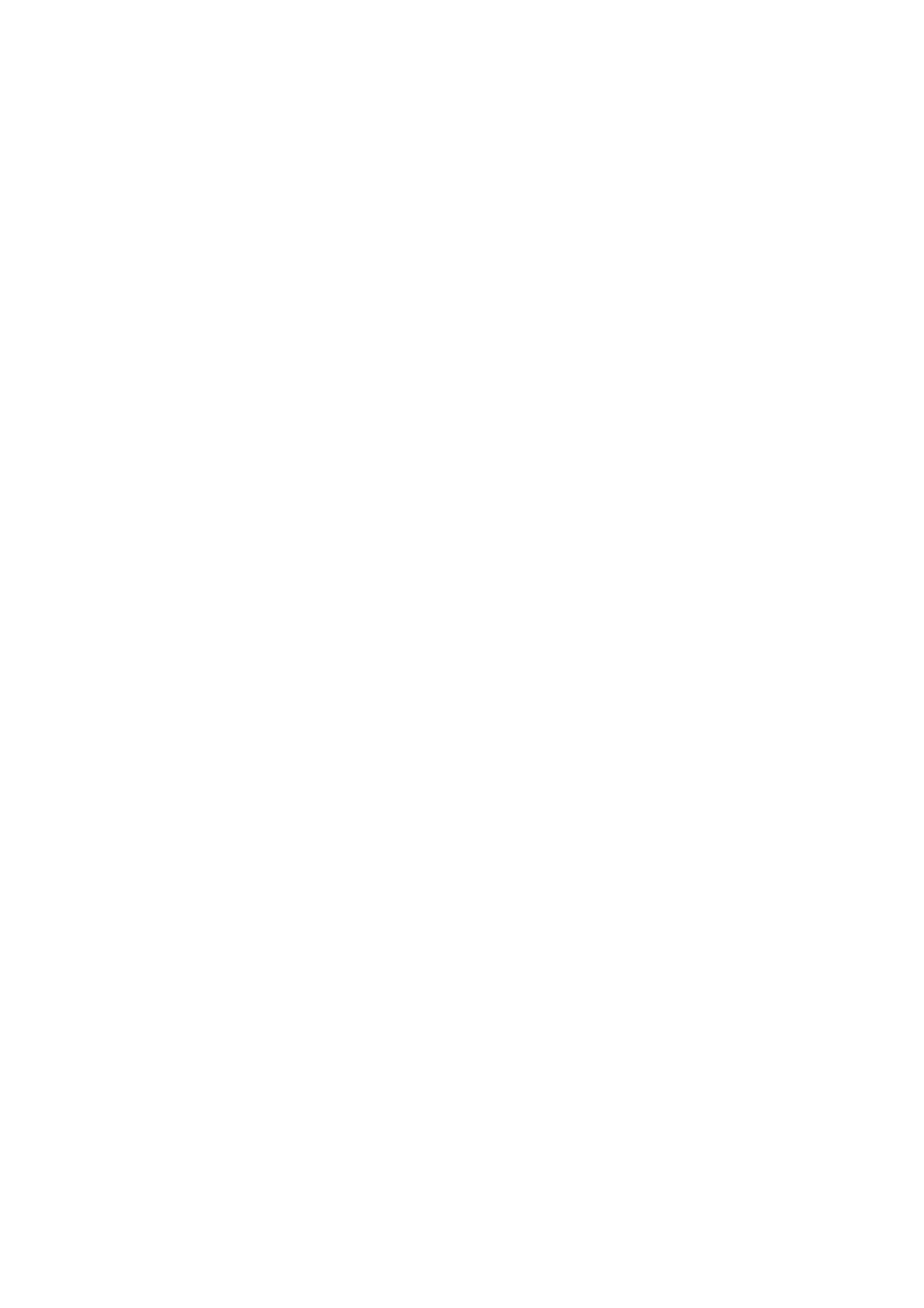| ---- |  |
|------|--|
|      |  |
|      |  |
|      |  |
|      |  |
|      |  |
|      |  |
|      |  |
|      |  |
|      |  |
|      |  |
|      |  |
|      |  |
|      |  |
|      |  |
|      |  |
|      |  |
|      |  |
|      |  |
|      |  |
|      |  |
|      |  |
|      |  |
|      |  |
|      |  |
|      |  |
|      |  |
|      |  |
|      |  |
|      |  |
|      |  |
|      |  |
|      |  |
|      |  |
|      |  |
|      |  |
|      |  |
|      |  |
|      |  |
|      |  |
|      |  |
|      |  |
|      |  |
|      |  |
|      |  |
|      |  |
|      |  |
|      |  |
|      |  |
|      |  |
|      |  |
|      |  |
|      |  |
|      |  |
|      |  |
|      |  |
|      |  |
|      |  |
|      |  |

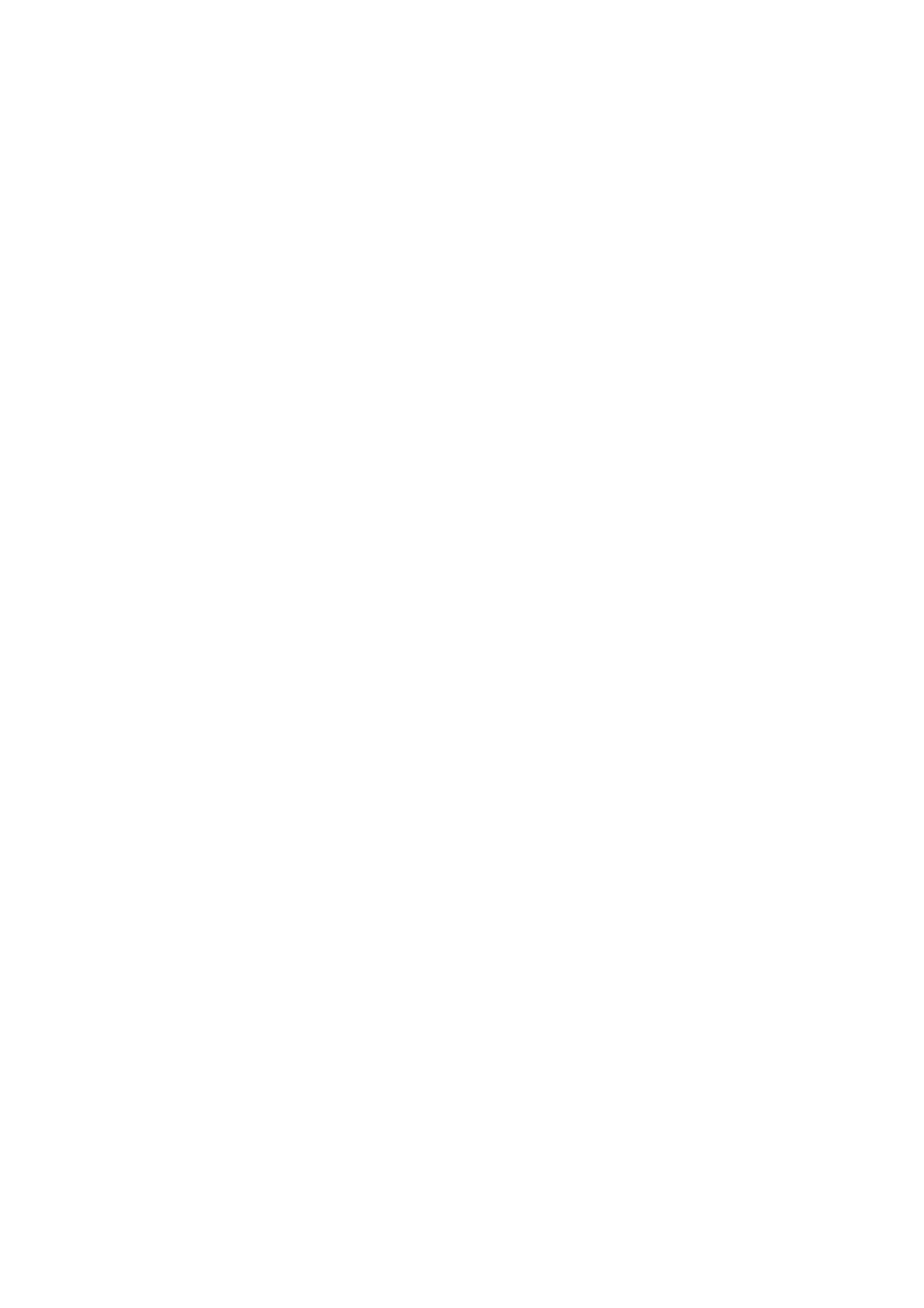| ---- |  |
|------|--|
|      |  |
|      |  |
|      |  |
|      |  |
|      |  |
|      |  |
|      |  |
|      |  |
|      |  |
|      |  |
|      |  |
|      |  |
|      |  |
|      |  |
|      |  |
|      |  |
|      |  |
|      |  |
|      |  |
|      |  |
|      |  |
|      |  |
|      |  |
|      |  |
|      |  |
|      |  |
|      |  |
|      |  |
|      |  |
|      |  |
|      |  |
|      |  |
|      |  |
|      |  |
|      |  |
|      |  |
|      |  |
|      |  |
|      |  |
|      |  |
|      |  |
|      |  |
|      |  |
|      |  |
|      |  |
|      |  |
|      |  |
|      |  |
|      |  |
|      |  |
|      |  |
|      |  |
|      |  |
|      |  |
|      |  |
|      |  |
|      |  |
|      |  |